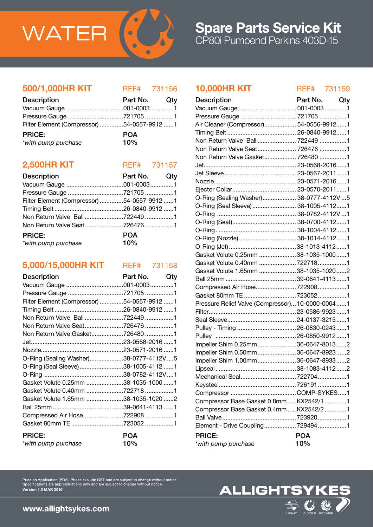

### 500/1,000HR KIT REF# 731156

| <b>Description</b>                         | Part No. Qty |  |
|--------------------------------------------|--------------|--|
|                                            |              |  |
|                                            |              |  |
| Filter Element (Compressor) 54-0557-9912 1 |              |  |
| <b>PRICE:</b>                              | <b>POA</b>   |  |
| *with pump purchase                        | 10%          |  |

# **2,500HR KIT** REF# 731157

| <b>Description</b>                         | Part No. Qty      |  |
|--------------------------------------------|-------------------|--|
|                                            |                   |  |
|                                            |                   |  |
| Filter Element (Compressor) 54-0557-9912 1 |                   |  |
|                                            |                   |  |
|                                            |                   |  |
|                                            |                   |  |
| <b>PRICE:</b><br>*with pump purchase       | <b>POA</b><br>10% |  |

# 5,000/15,000HR KIT REF# 731158

| <b>Description</b>                         | Part No. | Qty |
|--------------------------------------------|----------|-----|
|                                            |          |     |
| Pressure Gauge 721705 1                    |          |     |
| Filter Element (Compressor) 54-0557-9912 1 |          |     |
|                                            |          |     |
|                                            |          |     |
|                                            |          |     |
| Non Return Valve Gasket726480 1            |          |     |
|                                            |          |     |
|                                            |          |     |
| O-Ring (Sealing Washer)38-0777-4112V5      |          |     |
| O-Ring (Seal Sleeve) 38-1005-4112 1        |          |     |
|                                            |          |     |
| Gasket Volute 0.25mm 38-1035-1000 1        |          |     |
| Gasket Volute 0.40mm 722718 1              |          |     |
| Gasket Volute 1.65mm 38-1035-1020 2        |          |     |
|                                            |          |     |
| Compressed Air Hose7229081                 |          |     |
| Gasket 80mm TE 723052 1                    |          |     |
| <b>PRICE:</b>                              | POA      |     |
| *with pump purchase                        | 10%      |     |

# 10,000HR KIT REF# 731159

| Description                                      | Part No. Qty |  |
|--------------------------------------------------|--------------|--|
|                                                  |              |  |
| Pressure Gauge  721705 1                         |              |  |
| Air Cleaner (Compressor) 54-0556-99121           |              |  |
|                                                  |              |  |
| Non Return Valve Ball  722449 1                  |              |  |
| Non Return Valve Seat 726476 1                   |              |  |
| Non Return Valve Gasket 726480 1                 |              |  |
|                                                  |              |  |
|                                                  |              |  |
|                                                  |              |  |
|                                                  |              |  |
| O-Ring (Sealing Washer) 38-0777-4112V 5          |              |  |
| O-Ring (Seal Sleeve)  38-1005-41121              |              |  |
|                                                  |              |  |
|                                                  |              |  |
|                                                  |              |  |
| O-Ring (Nozzle)  38-1014-41121                   |              |  |
|                                                  |              |  |
| Gasket Volute 0.25mm 38-1035-10001               |              |  |
|                                                  |              |  |
| Gasket Volute 1.65mm  38-1035-1020 2             |              |  |
|                                                  |              |  |
| Compressed Air Hose 7229081                      |              |  |
|                                                  |              |  |
| Pressure Relief Valve (Compressor) 10-0000-00041 |              |  |
|                                                  |              |  |
|                                                  |              |  |
|                                                  |              |  |
|                                                  |              |  |
| Impeller Shim 0.25mm36-0647-80132                |              |  |
| Impeller Shim 0.50mm 36-0647-89232               |              |  |
| Impeller Shim 1.00mm36-0647-89332                |              |  |
|                                                  |              |  |
|                                                  |              |  |
|                                                  |              |  |
|                                                  |              |  |
| Compressor Base Gasket 0.8mm  KX2542/1 1         |              |  |
| Compressor Base Gasket 0.4mm  KX2542/2 1         |              |  |
|                                                  |              |  |
| Element - Drive Coupling 7294941                 |              |  |
| <b>PRICE:</b>                                    | <b>POA</b>   |  |
| *with pump purchase                              | 10%          |  |

Price on Application (POA). Prices exclude GST and are subject to change without notice.<br>Specifications are approximations only and are subject to change without notice.<br>Version 1.0 MAR 2016

# **ALLIGHTSY**